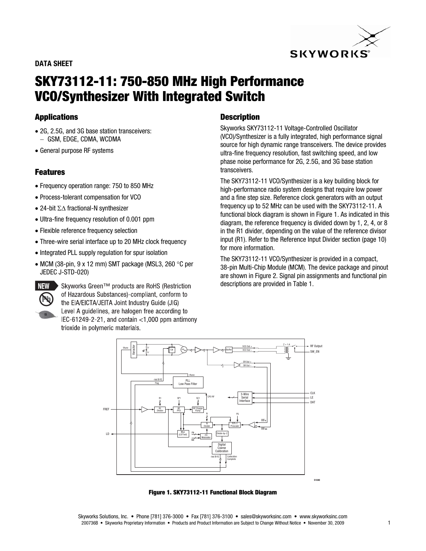# **SKYWORKS**

#### **DATA SHEET**

## **SKY73112-11: 750-850 MHz High Performance VCO/Synthesizer With Integrated Switch**

### **Applications**

- 2G, 2.5G, and 3G base station transceivers: GSM, EDGE, CDMA, WCDMA
- General purpose RF systems

#### **Features**

- Frequency operation range: 750 to 850 MHz
- Process-tolerant compensation for VCO
- 24-bit  $\Sigma\Delta$  fractional-N synthesizer
- Ultra-fine frequency resolution of 0.001 ppm
- Flexible reference frequency selection
- Three-wire serial interface up to 20 MHz clock frequency
- Integrated PLL supply regulation for spur isolation
- MCM (38-pin, 9 x 12 mm) SMT package (MSL3, 260  $\degree$ C per JEDEC J-STD-020)



NEW > Skyworks Green™ products are RoHS (Restriction of Hazardous Substances)-compliant, conform to the EIA/EICTA/JEITA Joint Industry Guide (JIG) Level A quidelines, are halogen free according to  $EC-61249-2-21$ , and contain < 1,000 ppm antimony trioxide in polymeric materials.

#### **Description**

Skyworks SKY73112-11 Voltage-Controlled Oscillator (VCO)/Synthesizer is a fully integrated, high performance signal source for high dynamic range transceivers. The device provides ultra-fine frequency resolution, fast switching speed, and low phase noise performance for 2G, 2.5G, and 3G base station transceivers.

The SKY73112-11 VCO/Synthesizer is a key building block for high-performance radio system designs that require low power and a fine step size. Reference clock generators with an output frequency up to 52 MHz can be used with the SKY73112-11. A functional block diagram is shown in Figure 1. As indicated in this diagram, the reference frequency is divided down by 1, 2, 4, or 8 in the R1 divider, depending on the value of the reference divisor input (R1). Refer to the Reference Input Divider section (page 10) for more information.

The SKY73112-11 VCO/Synthesizer is provided in a compact, 38-pin Multi-Chip Module (MCM). The device package and pinout are shown in Figure 2. Signal pin assignments and functional pin descriptions are provided in Table 1.



**Figure 1. SKY73112-11 Functional Block Diagram**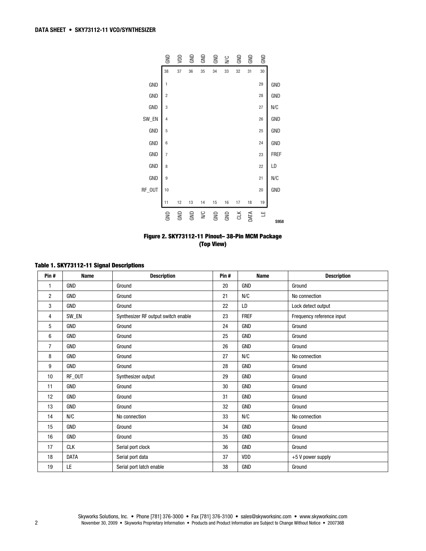

**Figure 2. SKY73112-11 Pinout– 38-Pin MCM Package (Top View)** 

| Pin#           | <b>Name</b> |                                     | Pin# | <b>Name</b> |                           |
|----------------|-------------|-------------------------------------|------|-------------|---------------------------|
|                |             | <b>Description</b>                  |      |             | <b>Description</b>        |
| 1              | <b>GND</b>  | Ground                              | 20   | <b>GND</b>  | Ground                    |
| 2              | <b>GND</b>  | Ground                              | 21   | N/C         | No connection             |
| 3              | <b>GND</b>  | Ground                              | 22   | LD          | Lock detect output        |
| 4              | SW_EN       | Synthesizer RF output switch enable | 23   | <b>FREF</b> | Frequency reference input |
| 5              | <b>GND</b>  | Ground                              | 24   | <b>GND</b>  | Ground                    |
| 6              | <b>GND</b>  | Ground                              | 25   | GND         | Ground                    |
| $\overline{7}$ | GND         | Ground                              | 26   | <b>GND</b>  | Ground                    |
| 8              | <b>GND</b>  | Ground                              | 27   | N/C         | No connection             |
| 9              | <b>GND</b>  | Ground                              | 28   | GND         | Ground                    |
| 10             | RF_OUT      | Synthesizer output                  | 29   | <b>GND</b>  | Ground                    |
| 11             | <b>GND</b>  | Ground                              | 30   | <b>GND</b>  | Ground                    |
| 12             | <b>GND</b>  | Ground                              | 31   | <b>GND</b>  | Ground                    |
| 13             | GND         | Ground                              | 32   | GND         | Ground                    |
| 14             | N/C         | No connection                       | 33   | N/C         | No connection             |
| 15             | <b>GND</b>  | Ground                              | 34   | <b>GND</b>  | Ground                    |
| 16             | <b>GND</b>  | Ground                              | 35   | GND         | Ground                    |
| 17             | <b>CLK</b>  | Serial port clock                   | 36   | <b>GND</b>  | Ground                    |
| 18             | <b>DATA</b> | Serial port data                    | 37   | VDD         | $+5$ V power supply       |
| 19             | LE          | Serial port latch enable            | 38   | GND         | Ground                    |

#### **Table 1. SKY73112-11 Signal Descriptions**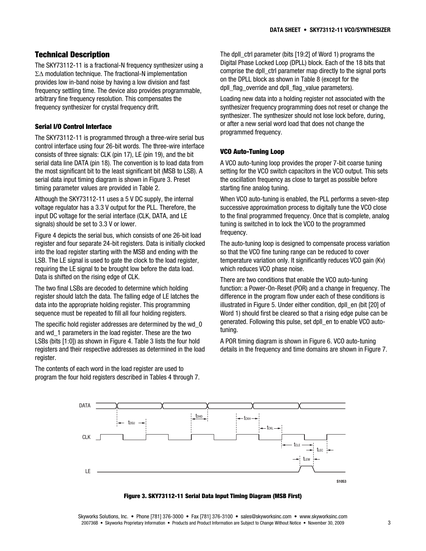#### **Technical Description**

The SKY73112-11 is a fractional-N frequency synthesizer using a  $\Sigma\Delta$  modulation technique. The fractional-N implementation provides low in-band noise by having a low division and fast frequency settling time. The device also provides programmable, arbitrary fine frequency resolution. This compensates the frequency synthesizer for crystal frequency drift.

#### **Serial I/O Control Interface**

The SKY73112-11 is programmed through a three-wire serial bus control interface using four 26-bit words. The three-wire interface consists of three signals: CLK (pin 17), LE (pin 19), and the bit serial data line DATA (pin 18). The convention is to load data from the most significant bit to the least significant bit (MSB to LSB). A serial data input timing diagram is shown in Figure 3. Preset timing parameter values are provided in Table 2.

Although the SKY73112-11 uses a 5 V DC supply, the internal voltage regulator has a 3.3 V output for the PLL. Therefore, the input DC voltage for the serial interface (CLK, DATA, and LE signals) should be set to 3.3 V or lower.

Figure 4 depicts the serial bus, which consists of one 26-bit load register and four separate 24-bit registers. Data is initially clocked into the load register starting with the MSB and ending with the LSB. The LE signal is used to gate the clock to the load register, requiring the LE signal to be brought low before the data load. Data is shifted on the rising edge of CLK.

The two final LSBs are decoded to determine which holding register should latch the data. The falling edge of LE latches the data into the appropriate holding register. This programming sequence must be repeated to fill all four holding registers.

The specific hold register addresses are determined by the wd\_0 and wd 1 parameters in the load register. These are the two LSBs (bits [1:0]) as shown in Figure 4. Table 3 lists the four hold registers and their respective addresses as determined in the load register.

The contents of each word in the load register are used to program the four hold registers described in Tables 4 through 7. The dpll\_ctrl parameter (bits [19:2] of Word 1) programs the Digital Phase Locked Loop (DPLL) block. Each of the 18 bits that comprise the dpll\_ctrl parameter map directly to the signal ports on the DPLL block as shown in Table 8 (except for the dpll\_flag\_override and dpll\_flag\_value parameters).

Loading new data into a holding register not associated with the synthesizer frequency programming does not reset or change the synthesizer. The synthesizer should not lose lock before, during, or after a new serial word load that does not change the programmed frequency.

#### **VCO Auto-Tuning Loop**

A VCO auto-tuning loop provides the proper 7-bit coarse tuning setting for the VCO switch capacitors in the VCO output. This sets the oscillation frequency as close to target as possible before starting fine analog tuning.

When VCO auto-tuning is enabled, the PLL performs a seven-step successive approximation process to digitally tune the VCO close to the final programmed frequency. Once that is complete, analog tuning is switched in to lock the VCO to the programmed frequency.

The auto-tuning loop is designed to compensate process variation so that the VCO fine tuning range can be reduced to cover temperature variation only. It significantly reduces VCO gain (Kv) which reduces VCO phase noise.

There are two conditions that enable the VCO auto-tuning function: a Power-On-Reset (POR) and a change in frequency. The difference in the program flow under each of these conditions is illustrated in Figure 5. Under either condition, dpll\_en (bit [20] of Word 1) should first be cleared so that a rising edge pulse can be generated. Following this pulse, set dpll\_en to enable VCO autotuning.

A POR timing diagram is shown in Figure 6. VCO auto-tuning details in the frequency and time domains are shown in Figure 7.



**Figure 3. SKY73112-11 Serial Data Input Timing Diagram (MSB First)** 

Skyworks Solutions, Inc. • Phone [781] 376-3000 • Fax [781] 376-3100 • sales@skyworksinc.com • www.skyworksinc.com 200736B • Skyworks Proprietary Information • Products and Product Information are Subject to Change Without Notice • November 30, 2009 3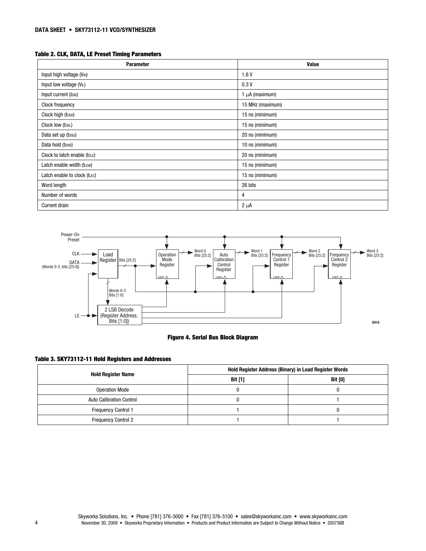#### **Table 2. CLK, DATA, LE Preset Timing Parameters**

| <b>Parameter</b>                      | Value               |
|---------------------------------------|---------------------|
| Input high voltage (V <sub>IH</sub> ) | 1.6V                |
| Input low voltage (V <sub>IL</sub> )  | 0.3V                |
| Input current (IDIG)                  | 1 $\mu$ A (maximum) |
| Clock frequency                       | 15 MHz (maximum)    |
| Clock high (tckH)                     | 15 ns (minimum)     |
| Clock low (tckl.)                     | 15 ns (minimum)     |
| Data set up (tosu)                    | 20 ns (minimum)     |
| Data hold (tohp)                      | 10 ns (minimum)     |
| Clock to latch enable (tcLE)          | 20 ns (minimum)     |
| Latch enable width (tLEW)             | 15 ns (minimum)     |
| Latch enable to clock (tLEC)          | 15 ns (minimum)     |
| Word length                           | 26 bits             |
| Number of words                       | 4                   |
| <b>Current drain</b>                  | $2 \mu A$           |



#### **Figure 4. Serial Bus Block Diagram**

#### **Table 3. SKY73112-11 Hold Registers and Addresses**

| <b>Hold Register Name</b>       | <b>Hold Register Address (Binary) in Load Register Words</b> |                |  |
|---------------------------------|--------------------------------------------------------------|----------------|--|
|                                 | <b>Bit [1]</b>                                               | <b>Bit [0]</b> |  |
| <b>Operation Mode</b>           |                                                              |                |  |
| <b>Auto Calibration Control</b> |                                                              |                |  |
| <b>Frequency Control 1</b>      |                                                              |                |  |
| <b>Frequency Control 2</b>      |                                                              |                |  |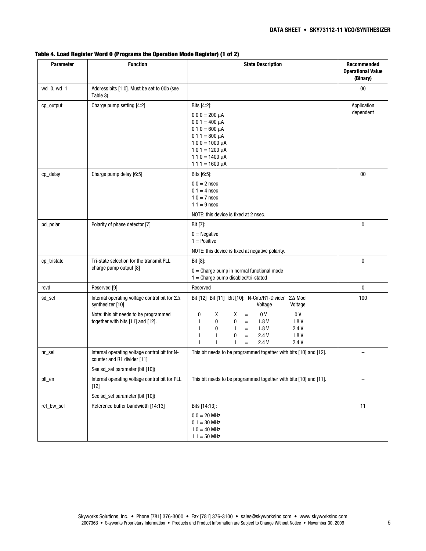| <b>Parameter</b> | <b>Function</b>                                                                                                                                             | <b>State Description</b>                                                                                                                                                                                                                                                                                                                                          | Recommended<br><b>Operational Value</b><br>(Binary) |
|------------------|-------------------------------------------------------------------------------------------------------------------------------------------------------------|-------------------------------------------------------------------------------------------------------------------------------------------------------------------------------------------------------------------------------------------------------------------------------------------------------------------------------------------------------------------|-----------------------------------------------------|
| wd_0, wd_1       | Address bits [1:0]. Must be set to 00b (see<br>Table 3)                                                                                                     |                                                                                                                                                                                                                                                                                                                                                                   | $00\,$                                              |
| cp_output        | Charge pump setting [4:2]                                                                                                                                   | Bits [4:2]:<br>$000 = 200 \mu A$<br>$001 = 400 \mu A$<br>$010 = 600 \mu A$<br>$011 = 800 \mu A$<br>$100 = 1000 \mu A$<br>$101 = 1200 \mu A$<br>$110 = 1400 \mu A$<br>$111 = 1600 \mu A$                                                                                                                                                                           | Application<br>dependent                            |
| cp_delay         | Charge pump delay [6:5]                                                                                                                                     | Bits [6:5]:<br>$00 = 2 nsec$<br>$01 = 4$ nsec<br>$10 = 7$ nsec<br>$11 = 9$ nsec<br>NOTE: this device is fixed at 2 nsec.                                                                                                                                                                                                                                          | 00                                                  |
| pd polar         | Polarity of phase detector [7]                                                                                                                              | Bit [7]:<br>$0 = Negative$<br>$1 = Positive$<br>NOTE: this device is fixed at negative polarity.                                                                                                                                                                                                                                                                  | 0                                                   |
| cp_tristate      | Tri-state selection for the transmit PLL<br>charge pump output [8]                                                                                          | Bit [8]:<br>$0 =$ Charge pump in normal functional mode<br>$1 =$ Charge pump disabled/tri-stated                                                                                                                                                                                                                                                                  | 0                                                   |
| rsvd             | Reserved [9]                                                                                                                                                | Reserved                                                                                                                                                                                                                                                                                                                                                          | 0                                                   |
| sd_sel           | Internal operating voltage control bit for $\Sigma\Delta$<br>synthesizer [10]<br>Note: this bit needs to be programmed<br>together with bits [11] and [12]. | Bit [12] Bit [11] Bit [10]: N-Cntr/R1-Divider ∑∆ Mod<br>Voltage<br>Voltage<br>0 <sup>V</sup><br>0 <sup>V</sup><br>0<br>х<br>х<br>$=$<br>$\mathbf{1}$<br>0<br>1.8V<br>1.8V<br>0<br>$=$<br>$\mathbf{1}$<br>0<br>1<br>1.8V<br>2.4V<br>$\quad =$<br>0<br>1.8V<br>$\mathbf{1}$<br>1<br>2.4V<br>$\equiv$<br>$\mathbf{1}$<br>1<br>2.4V<br>2.4V<br>1<br>$\qquad \qquad =$ | 100                                                 |
| nr_sel           | Internal operating voltage control bit for N-<br>counter and R1 divider [11]<br>See sd_sel parameter (bit [10])                                             | This bit needs to be programmed together with bits [10] and [12].                                                                                                                                                                                                                                                                                                 | $\overline{\phantom{0}}$                            |
| pll_en           | Internal operating voltage control bit for PLL<br>$[12]$<br>See sd_sel parameter (bit [10])                                                                 | This bit needs to be programmed together with bits [10] and [11].                                                                                                                                                                                                                                                                                                 |                                                     |
| ref_bw_sel       | Reference buffer bandwidth [14:13]                                                                                                                          | Bits [14:13]:<br>$00 = 20$ MHz<br>$01 = 30$ MHz<br>$10 = 40$ MHz<br>$11 = 50$ MHz                                                                                                                                                                                                                                                                                 | 11                                                  |

#### **Table 4. Load Register Word 0 (Programs the Operation Mode Register) (1 of 2)**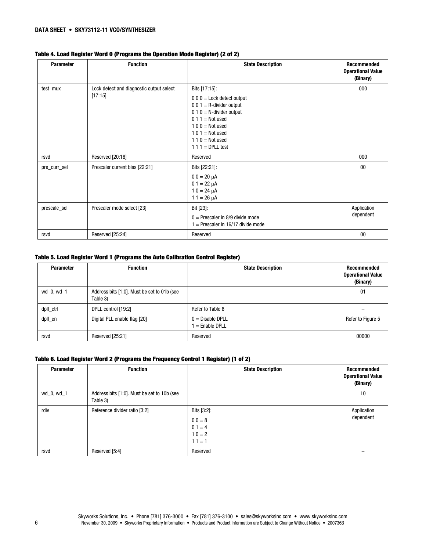| <b>Parameter</b> | <b>Function</b>                                     | <b>State Description</b>                                                                                                                                                                                    | <b>Recommended</b><br><b>Operational Value</b><br>(Binary) |
|------------------|-----------------------------------------------------|-------------------------------------------------------------------------------------------------------------------------------------------------------------------------------------------------------------|------------------------------------------------------------|
| test_mux         | Lock detect and diagnostic output select<br>[17:15] | Bits [17:15]:<br>$000 =$ Lock detect output<br>$001$ = R-divider output<br>$0 1 0 = N$ -divider output<br>$011 = Not used$<br>$100 = Not used$<br>$101$ = Not used<br>$110$ = Not used<br>$111 = DPLL test$ | 000                                                        |
| rsvd             | Reserved [20:18]                                    | Reserved                                                                                                                                                                                                    | 000                                                        |
| pre_curr_sel     | Prescaler current bias [22:21]                      | Bits [22:21]:<br>$00 = 20 \mu A$<br>$01 = 22 \mu A$<br>$10 = 24 \mu A$<br>$11 = 26 \mu A$                                                                                                                   | $00\,$                                                     |
| prescale_sel     | Prescaler mode select [23]                          | Bit [23]:<br>$0 =$ Prescaler in 8/9 divide mode<br>$1 =$ Prescaler in 16/17 divide mode                                                                                                                     | Application<br>dependent                                   |
| rsvd             | Reserved [25:24]                                    | Reserved                                                                                                                                                                                                    | 00                                                         |

#### **Table 4. Load Register Word 0 (Programs the Operation Mode Register) (2 of 2)**

#### **Table 5. Load Register Word 1 (Programs the Auto Calibration Control Register)**

| <b>Parameter</b> | <b>Function</b>                                         | <b>State Description</b>              | Recommended<br><b>Operational Value</b><br>(Binary) |
|------------------|---------------------------------------------------------|---------------------------------------|-----------------------------------------------------|
| wd_0, wd_1       | Address bits [1:0]. Must be set to 01b (see<br>Table 3) |                                       | 01                                                  |
| dpll_ctrl        | DPLL control [19:2]                                     | Refer to Table 8                      | -                                                   |
| dpll_en          | Digital PLL enable flag [20]                            | $0 = Disable DPLL$<br>$=$ Enable DPLL | Refer to Figure 5                                   |
| rsvd             | Reserved [25:21]                                        | Reserved                              | 00000                                               |

#### **Table 6. Load Register Word 2 (Programs the Frequency Control 1 Register) (1 of 2)**

| <b>Parameter</b> | <b>Function</b>                                         | <b>State Description</b>                                    | Recommended<br><b>Operational Value</b><br>(Binary) |
|------------------|---------------------------------------------------------|-------------------------------------------------------------|-----------------------------------------------------|
| wd_0, wd_1       | Address bits [1:0]. Must be set to 10b (see<br>Table 3) |                                                             | 10                                                  |
| rdiv             | Reference divider ratio [3:2]                           | Bits [3:2]:<br>$00 = 8$<br>$01 = 4$<br>$10 = 2$<br>$11 = 1$ | Application<br>dependent                            |
| rsvd             | Reserved [5:4]                                          | Reserved                                                    |                                                     |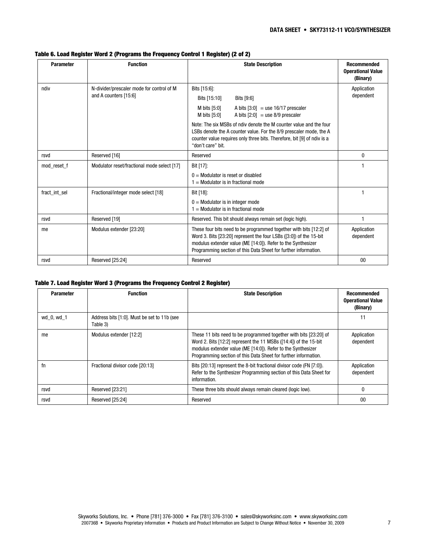| <b>Parameter</b> | <b>Function</b>                                                    | <b>State Description</b>                                                                                                                                                                                                                                                    | <b>Recommended</b><br><b>Operational Value</b><br>(Binary) |
|------------------|--------------------------------------------------------------------|-----------------------------------------------------------------------------------------------------------------------------------------------------------------------------------------------------------------------------------------------------------------------------|------------------------------------------------------------|
| ndiv             | N-divider/prescaler mode for control of M<br>and A counters [15:6] | Bits [15:6]:<br>Bits [15:10]<br>Bits [9:6]<br>M bits [5:0]<br>A bits $[3:0] =$ use 16/17 prescaler<br>M bits [5:0]<br>A bits $[2:0] =$ use 8/9 prescaler                                                                                                                    | Application<br>dependent                                   |
|                  |                                                                    | Note: The six MSBs of ndiv denote the M counter value and the four<br>LSBs denote the A counter value. For the 8/9 prescaler mode, the A<br>counter value requires only three bits. Therefore, bit [9] of ndiv is a<br>"don't care" bit.                                    |                                                            |
| rsvd             | Reserved [16]                                                      | Reserved                                                                                                                                                                                                                                                                    | $\mathbf{0}$                                               |
| mod reset f      | Modulator reset/fractional mode select [17]                        | Bit [17]:<br>$0 =$ Modulator is reset or disabled<br>$1 =$ Modulator is in fractional mode                                                                                                                                                                                  |                                                            |
| fract int sel    | Fractional/integer mode select [18]                                | Bit [18]:<br>$0 =$ Modulator is in integer mode<br>$=$ Modulator is in fractional mode                                                                                                                                                                                      |                                                            |
| rsvd             | Reserved [19]                                                      | Reserved. This bit should always remain set (logic high).                                                                                                                                                                                                                   |                                                            |
| me               | Modulus extender [23:20]                                           | These four bits need to be programmed together with bits [12:2] of<br>Word 3. Bits [23:20] represent the four LSBs ([3:0]) of the 15-bit<br>modulus extender value (ME [14:0]). Refer to the Synthesizer<br>Programming section of this Data Sheet for further information. | Application<br>dependent                                   |
| rsvd             | Reserved [25:24]                                                   | Reserved                                                                                                                                                                                                                                                                    | 00                                                         |

#### **Table 6. Load Register Word 2 (Programs the Frequency Control 1 Register) (2 of 2)**

#### **Table 7. Load Register Word 3 (Programs the Frequency Control 2 Register)**

| <b>Parameter</b> | <b>Function</b>                                         | <b>State Description</b>                                                                                                                                                                                                                                                 | <b>Recommended</b><br><b>Operational Value</b><br>(Binary) |
|------------------|---------------------------------------------------------|--------------------------------------------------------------------------------------------------------------------------------------------------------------------------------------------------------------------------------------------------------------------------|------------------------------------------------------------|
| wd 0, wd 1       | Address bits [1:0]. Must be set to 11b (see<br>Table 3) |                                                                                                                                                                                                                                                                          | 11                                                         |
| me               | Modulus extender [12:2]                                 | These 11 bits need to be programmed together with bits [23:20] of<br>Word 2. Bits [12:2] represent the 11 MSBs ([14:4]) of the 15-bit<br>modulus extender value (ME [14:0]). Refer to the Synthesizer<br>Programming section of this Data Sheet for further information. | Application<br>dependent                                   |
| fn               | Fractional divisor code [20:13]                         | Bits [20:13] represent the 8-bit fractional divisor code (FN [7:0]).<br>Refer to the Synthesizer Programming section of this Data Sheet for<br>information.                                                                                                              | Application<br>dependent                                   |
| rsvd             | Reserved [23:21]                                        | These three bits should always remain cleared (logic low).                                                                                                                                                                                                               |                                                            |
| rsvd             | Reserved [25:24]                                        | Reserved                                                                                                                                                                                                                                                                 | 00                                                         |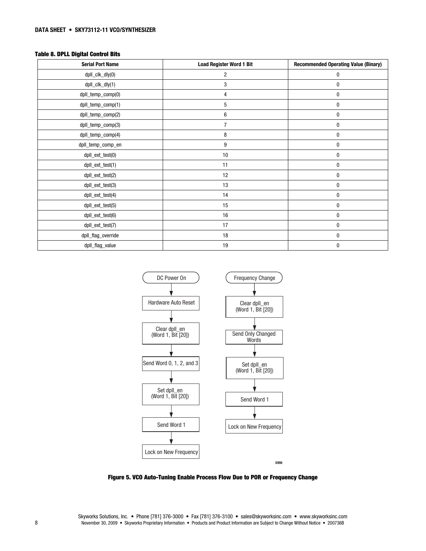#### **Table 8. DPLL Digital Control Bits**

| <b>Serial Port Name</b> | <b>Load Register Word 1 Bit</b> | <b>Recommended Operating Value (Binary)</b> |
|-------------------------|---------------------------------|---------------------------------------------|
| dpll_clk_dly(0)         | $\overline{c}$                  | 0                                           |
| dpll_clk_dly(1)         | 3                               | 0                                           |
| dpll_temp_comp(0)       | 4                               | 0                                           |
| dpll_temp_comp(1)       | 5                               | 0                                           |
| dpll_temp_comp(2)       | 6                               | 0                                           |
| dpll_temp_comp(3)       | 7                               | 0                                           |
| dpll_temp_comp(4)       | 8                               | 0                                           |
| dpll_temp_comp_en       | 9                               | 0                                           |
| dpll_ext_test(0)        | $10$                            | 0                                           |
| dpll_ext_test(1)        | 11                              | 0                                           |
| dpll_ext_test(2)        | 12                              | 0                                           |
| dpll_ext_test(3)        | 13                              | 0                                           |
| dpll_ext_test(4)        | 14                              | 0                                           |
| dpll_ext_test(5)        | 15                              | 0                                           |
| dpll_ext_test(6)        | 16                              | 0                                           |
| dpll_ext_test(7)        | 17                              | 0                                           |
| dpll_flag_override      | 18                              | 0                                           |
| dpll_flag_value         | 19                              | 0                                           |



**Figure 5. VCO Auto-Tuning Enable Process Flow Due to POR or Frequency Change**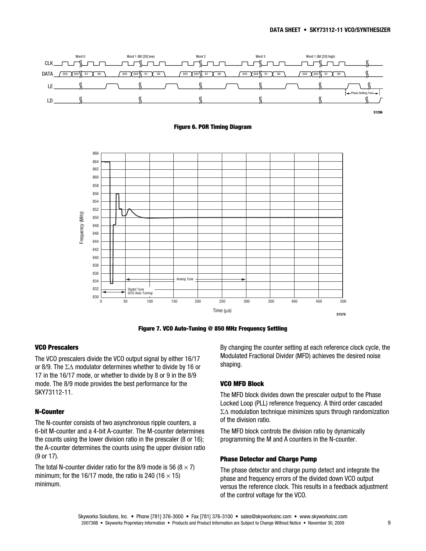

**Figure 7. VCO Auto-Tuning @ 850 MHz Frequency Settling** 

#### **VCO Prescalers**

The VCO prescalers divide the VCO output signal by either 16/17 or 8/9. The  $\Sigma\Delta$  modulator determines whether to divide by 16 or 17 in the 16/17 mode, or whether to divide by 8 or 9 in the 8/9 mode. The 8/9 mode provides the best performance for the SKY73112-11.

#### **N-Counter**

The N-counter consists of two asynchronous ripple counters, a 6-bit M-counter and a 4-bit A-counter. The M-counter determines the counts using the lower division ratio in the prescaler (8 or 16); the A-counter determines the counts using the upper division ratio (9 or 17).

The total N-counter divider ratio for the 8/9 mode is 56 ( $8 \times 7$ ) minimum; for the 16/17 mode, the ratio is 240 (16  $\times$  15) minimum.

By changing the counter setting at each reference clock cycle, the Modulated Fractional Divider (MFD) achieves the desired noise shaping.

#### **VCO MFD Block**

The MFD block divides down the prescaler output to the Phase Locked Loop (PLL) reference frequency. A third order cascaded  $\Sigma\Delta$  modulation technique minimizes spurs through randomization of the division ratio.

The MFD block controls the division ratio by dynamically programming the M and A counters in the N-counter.

#### **Phase Detector and Charge Pump**

The phase detector and charge pump detect and integrate the phase and frequency errors of the divided down VCO output versus the reference clock. This results in a feedback adjustment of the control voltage for the VCO.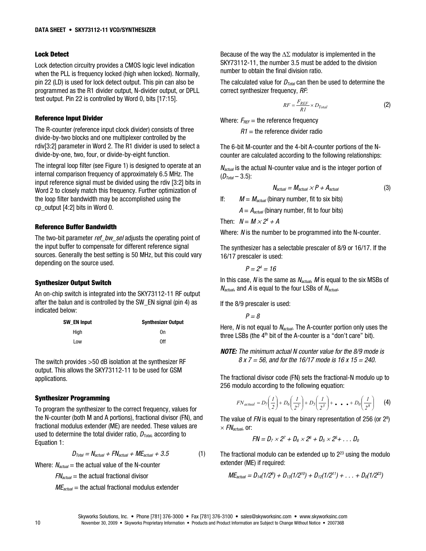#### **Lock Detect**

Lock detection circuitry provides a CMOS logic level indication when the PLL is frequency locked (high when locked). Normally, pin 22 (LD) is used for lock detect output. This pin can also be programmed as the R1 divider output, N-divider output, or DPLL test output. Pin 22 is controlled by Word 0, bits [17:15].

#### **Reference Input Divider**

The R-counter (reference input clock divider) consists of three divide-by-two blocks and one multiplexer controlled by the rdiv[3:2] parameter in Word 2. The R1 divider is used to select a divide-by-one, two, four, or divide-by-eight function.

The integral loop filter (see Figure 1) is designed to operate at an internal comparison frequency of approximately 6.5 MHz. The input reference signal must be divided using the rdiv [3:2] bits in Word 2 to closely match this frequency. Further optimization of the loop filter bandwidth may be accomplished using the cp\_output [4:2] bits in Word 0.

#### **Reference Buffer Bandwidth**

The two-bit parameter ref\_bw\_sel adjusts the operating point of the input buffer to compensate for different reference signal sources. Generally the best setting is 50 MHz, but this could vary depending on the source used.

#### **Synthesizer Output Switch**

An on-chip switch is integrated into the SKY73112-11 RF output after the balun and is controlled by the SW\_EN signal (pin 4) as indicated below:

| SW EN Input | <b>Synthesizer Output</b> |
|-------------|---------------------------|
| Hiah        | 0n                        |
| Low         | 0ff                       |

The switch provides >50 dB isolation at the synthesizer RF output. This allows the SKY73112-11 to be used for GSM applications.

#### **Synthesizer Programming**

To program the synthesizer to the correct frequency, values for the N-counter (both M and A portions), fractional divisor (FN), and fractional modulus extender (ME) are needed. These values are used to determine the total divider ratio,  $D_{Total}$ , according to Equation 1:

$$
D_{\text{Total}} = N_{\text{actual}} + FN_{\text{actual}} + ME_{\text{actual}} + 3.5 \tag{1}
$$

Where:  $N_{actual}$  = the actual value of the N-counter

 $FN_{actual}$  = the actual fractional divisor

 $ME_{actual}$  = the actual fractional modulus extender

Because of the way the  $\Delta\Sigma$  modulator is implemented in the SKY73112-11, the number 3.5 must be added to the division number to obtain the final division ratio.

The calculated value for  $D_{Total}$  can then be used to determine the correct synthesizer frequency, RF:

$$
RF = \frac{F_{REF}}{RI} \times D_{Total}
$$
 (2)

Where:  $F_{REF}$  = the reference frequency

 $R1$  = the reference divider radio

The 6-bit M-counter and the 4-bit A-counter portions of the Ncounter are calculated according to the following relationships:

 $N_{actual}$  is the actual N-counter value and is the integer portion of  $(D_{Total} - 3.5)$ :

$$
N_{actual} = M_{actual} \times P + A_{actual}
$$
 (3)

If:  $M = M_{actual}$  (binary number, fit to six bits)

 $A = A_{actual}$  (binary number, fit to four bits)

Then:  $N = M \times 2^4 + A$ 

Where: N is the number to be programmed into the N-counter.

The synthesizer has a selectable prescaler of 8/9 or 16/17. If the 16/17 prescaler is used:

$$
P=2^4=16
$$

In this case,  $N$  is the same as  $N_{actual}$ ,  $M$  is equal to the six MSBs of  $N_{actual}$ , and A is equal to the four LSBs of  $N_{actual}$ .

If the 8/9 prescaler is used:

 $P = 8$ 

Here,  $N$  is not equal to  $N_{actual}$ . The A-counter portion only uses the three LSBs (the  $4<sup>th</sup>$  bit of the A-counter is a "don't care" bit).

*NOTE:* The minimum actual N counter value for the 8/9 mode is  $8 \times 7 = 56$ , and for the 16/17 mode is 16 x 15 = 240.

The fractional divisor code (FN) sets the fractional-N modulo up to 256 modulo according to the following equation:

$$
FN_{actual} = D_7\left(\frac{1}{2}\right) + D_6\left(\frac{1}{2^2}\right) + D_5\left(\frac{1}{2^3}\right) + \dots + D_0\left(\frac{1}{2^8}\right) \tag{4}
$$

The value of  $FN$  is equal to the binary representation of 256 (or  $2<sup>8</sup>$ )  $\times$  FN<sub>actual</sub>, or:

$$
FN = D_7 \times 2^7 + D_6 \times 2^6 + D_5 \times 2^6 + \ldots D_0
$$

The fractional modulo can be extended up to  $2<sup>23</sup>$  using the modulo extender (ME) if required:

$$
ME_{actual} = D_{14}(1/2^{9}) + D_{13}(1/2^{10}) + D_{12}(1/2^{11}) + \ldots + D_{0}(1/2^{23})
$$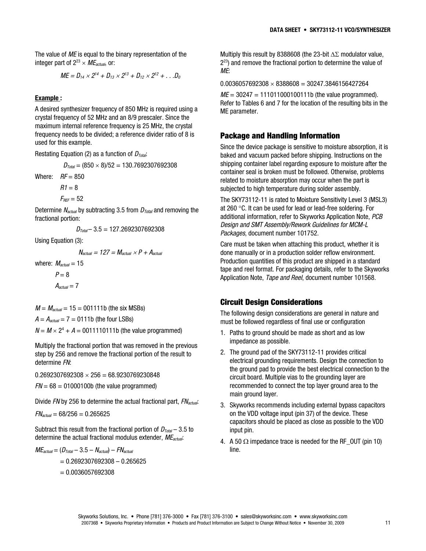The value of ME is equal to the binary representation of the integer part of  $2^{23} \times \text{ME}_{actual}$ , or:

$$
ME = D_{14} \times 2^{14} + D_{13} \times 2^{13} + D_{12} \times 2^{12} + \dots D_0
$$

#### **Example :**

A desired synthesizer frequency of 850 MHz is required using a crystal frequency of 52 MHz and an 8/9 prescaler. Since the maximum internal reference frequency is 25 MHz, the crystal frequency needs to be divided; a reference divider ratio of 8 is used for this example.

Restating Equation (2) as a function of  $D_{Total}$ :

 $D_{\text{Total}} = (850 \times 8)/52 = 130.7692307692308$ 

Where:  $RF = 850$ 

 $R1 = 8$ 

$$
F_{\text{REF}}=52
$$

Determine  $N_{actual}$  by subtracting 3.5 from  $D_{Total}$  and removing the fractional portion:

$$
D_{\text{Total}} - 3.5 = 127.2692307692308
$$

Using Equation (3):

$$
N_{actual} = 127 = M_{actual} \times P + A_{actual}
$$

where:  $M_{actual} = 15$ 

$$
P = 8
$$

$$
A_{actual} = 7
$$

 $M = M<sub>actual</sub> = 15 = 001111b$  (the six MSBs)

 $A = A_{actual} = 7 = 0111b$  (the four LSBs)

 $N = M \times 2^4 + A = 0011110111b$  (the value programmed)

Multiply the fractional portion that was removed in the previous step by 256 and remove the fractional portion of the result to determine FN:

 $0.2692307692308 \times 256 = 68.9230769230848$ 

 $FN = 68 = 01000100b$  (the value programmed)

Divide FN by 256 to determine the actual fractional part,  $FN<sub>actual</sub>$ :

 $FN_{actual} = 68/256 = 0.265625$ 

Subtract this result from the fractional portion of  $D_{Total}$  – 3.5 to determine the actual fractional modulus extender,  $ME_{actual}$ :

$$
ME_{actual} = (D_{Total} - 3.5 - N_{actual}) - FN_{actual}
$$
  
= 0.2692307692308 - 0.265625  
= 0.0036057692308

Multiply this result by 8388608 (the 23-bit  $\Delta\Sigma$  modulator value,  $2^{23}$ ) and remove the fractional portion to determine the value of ME:

 $0.0036057692308 \times 8388608 = 30247.3846156427264$ 

 $ME = 30247 = 111011000100111b$  (the value programmed). Refer to Tables 6 and 7 for the location of the resulting bits in the ME parameter.

#### **Package and Handling Information**

Since the device package is sensitive to moisture absorption, it is baked and vacuum packed before shipping. Instructions on the shipping container label regarding exposure to moisture after the container seal is broken must be followed. Otherwise, problems related to moisture absorption may occur when the part is subjected to high temperature during solder assembly.

The SKY73112-11 is rated to Moisture Sensitivity Level 3 (MSL3) at 260  $\degree$ C. It can be used for lead or lead-free soldering. For additional information, refer to Skyworks Application Note, PCB Design and SMT Assembly/Rework Guidelines for MCM-L Packages, document number 101752.

Care must be taken when attaching this product, whether it is done manually or in a production solder reflow environment. Production quantities of this product are shipped in a standard tape and reel format. For packaging details, refer to the Skyworks Application Note, Tape and Reel, document number 101568.

#### **Circuit Design Considerations**

The following design considerations are general in nature and must be followed regardless of final use or configuration

- 1. Paths to ground should be made as short and as low impedance as possible.
- 2. The ground pad of the SKY73112-11 provides critical electrical grounding requirements. Design the connection to the ground pad to provide the best electrical connection to the circuit board. Multiple vias to the grounding layer are recommended to connect the top layer ground area to the main ground layer.
- 3. Skyworks recommends including external bypass capacitors on the VDD voltage input (pin 37) of the device. These capacitors should be placed as close as possible to the VDD input pin.
- 4. A 50  $\Omega$  impedance trace is needed for the RF OUT (pin 10) line.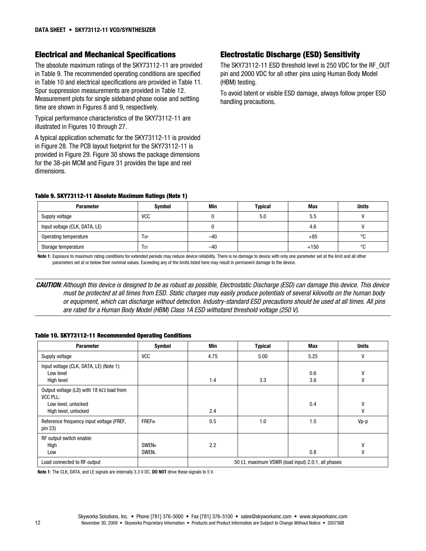#### **Electrical and Mechanical Specifications**

The absolute maximum ratings of the SKY73112-11 are provided in Table 9. The recommended operating conditions are specified in Table 10 and electrical specifications are provided in Table 11. Spur suppression measurements are provided in Table 12. Measurement plots for single sideband phase noise and settling time are shown in Figures 8 and 9, respectively.

Typical performance characteristics of the SKY73112-11 are illustrated in Figures 10 through 27.

A typical application schematic for the SKY73112-11 is provided in Figure 28. The PCB layout footprint for the SKY73112-11 is provided in Figure 29. Figure 30 shows the package dimensions for the 38-pin MCM and Figure 31 provides the tape and reel dimensions.

#### **Electrostatic Discharge (ESD) Sensitivity**

The SKY73112-11 ESD threshold level is 250 VDC for the RF\_OUT pin and 2000 VDC for all other pins using Human Body Model (HBM) testing.

To avoid latent or visible ESD damage, always follow proper ESD handling precautions.

#### **Table 9. SKY73112-11 Absolute Maximum Ratings (Note 1)**

| <b>Parameter</b>              | Symbol     | Min   | Typical | <b>Max</b> | <b>Units</b> |
|-------------------------------|------------|-------|---------|------------|--------------|
| Supply voltage                | <b>VCC</b> |       | 5.0     | 5.5        |              |
| Input voltage (CLK, DATA, LE) |            |       |         | 4.6        |              |
| Operating temperature         | Top        | $-40$ |         | $+85$      | $\circ$      |
| Storage temperature           | l st       | $-40$ |         | $+150$     | $\circ$      |

**Note 1**: Exposure to maximum rating conditions for extended periods may reduce device reliability. There is no damage to device with only one parameter set at the limit and all other parameters set at or below their nominal values. Exceeding any of the limits listed here may result in permanent damage to the device.

*CAUTION*: Although this device is designed to be as robust as possible, Electrostatic Discharge (ESD) can damage this device. This device must be protected at all times from ESD. Static charges may easily produce potentials of several kilovolts on the human body or equipment, which can discharge without detection. Industry-standard ESD precautions should be used at all times. All pins are rated for a Human Body Model (HBM) Class 1A ESD withstand threshold voltage (250 V).

#### **Table 10. SKY73112-11 Recommended Operating Conditions**

| <b>Parameter</b>                                                                                           | <b>Symbol</b>                | Min                                                       | <b>Typical</b> | Max        | <b>Units</b> |
|------------------------------------------------------------------------------------------------------------|------------------------------|-----------------------------------------------------------|----------------|------------|--------------|
| Supply voltage                                                                                             | <b>VCC</b>                   | 4.75                                                      | 5.00           | 5.25       | V            |
| Input voltage (CLK, DATA, LE) (Note 1):<br>Low level<br>High level                                         |                              | 1.4                                                       | 3.3            | 0.6<br>3.6 | ٧<br>٧       |
| Output voltage (LD) with 18 $k\Omega$ load from<br>VCC PLL:<br>Low level, unlocked<br>High level, unlocked |                              | 2.4                                                       |                | 0.4        | V<br>V       |
| Reference frequency input voltage (FREF,<br>pin 23)                                                        | <b>FREF<sub>IN</sub></b>     | 0.5                                                       | 1.0            | 1.5        | Vp-p         |
| RF output switch enable:<br>High<br>Low                                                                    | <b>SWENH</b><br><b>SWENL</b> | 2.2                                                       |                | 0.8        | ٧<br>٧       |
| Load connected to RF output                                                                                |                              | 50 $\Omega$ , maximum VSWR (load input) 2.0:1, all phases |                |            |              |

**Note 1**: The CLK, DATA, and LE signals are internally 3.3 V DC. **DO NOT** drive these signals to 5 V.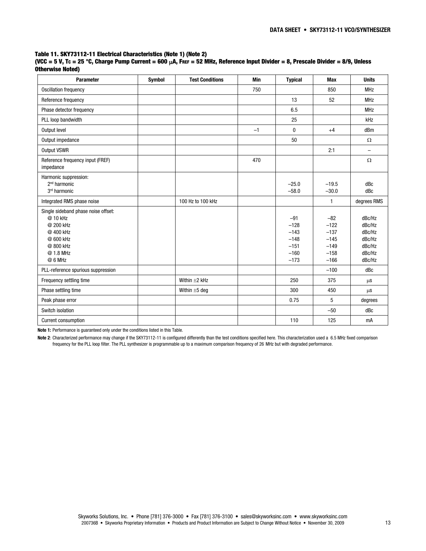#### **Table 11. SKY73112-11 Electrical Characteristics (Note 1) (Note 2)**

| (VCC = 5 V, Tc = 25 °C, Charge Pump Current = 600 μA, Free = 52 MHz, Reference Input Divider = 8, Prescale Divider = 8/9, Unless |  |
|----------------------------------------------------------------------------------------------------------------------------------|--|
| Otherwise Noted)                                                                                                                 |  |

| <b>Parameter</b>                                                                                                            | <b>Symbol</b> | <b>Test Conditions</b> | <b>Min</b> | <b>Typical</b>                                                    | <b>Max</b>                                                        | <b>Units</b>                                                       |
|-----------------------------------------------------------------------------------------------------------------------------|---------------|------------------------|------------|-------------------------------------------------------------------|-------------------------------------------------------------------|--------------------------------------------------------------------|
| Oscillation frequency                                                                                                       |               |                        | 750        |                                                                   | 850                                                               | <b>MHz</b>                                                         |
| Reference frequency                                                                                                         |               |                        |            | 13                                                                | 52                                                                | <b>MHz</b>                                                         |
| Phase detector frequency                                                                                                    |               |                        |            | 6.5                                                               |                                                                   | <b>MHz</b>                                                         |
| PLL loop bandwidth                                                                                                          |               |                        |            | 25                                                                |                                                                   | kHz                                                                |
| Output level                                                                                                                |               |                        | $-1$       | $\mathbf{0}$                                                      | $+4$                                                              | dBm                                                                |
| Output impedance                                                                                                            |               |                        |            | 50                                                                |                                                                   | $\Omega$                                                           |
| <b>Output VSWR</b>                                                                                                          |               |                        |            |                                                                   | 2:1                                                               | $\overline{\phantom{a}}$                                           |
| Reference frequency input (FREF)<br>impedance                                                                               |               |                        | 470        |                                                                   |                                                                   | $\Omega$                                                           |
| Harmonic suppression:<br>2 <sup>nd</sup> harmonic<br>3rd harmonic                                                           |               |                        |            | $-25.0$<br>$-58.0$                                                | $-19.5$<br>$-30.0$                                                | dBc<br>dBc                                                         |
| Integrated RMS phase noise                                                                                                  |               | 100 Hz to 100 kHz      |            |                                                                   | $\mathbf{1}$                                                      | degrees RMS                                                        |
| Single sideband phase noise offset:<br>@ 10 kHz<br>@ 200 kHz<br>@ 400 kHz<br>@ 600 kHz<br>@ 800 kHz<br>@ 1.8 MHz<br>@ 6 MHz |               |                        |            | $-91$<br>$-128$<br>$-143$<br>$-148$<br>$-151$<br>$-160$<br>$-173$ | $-82$<br>$-122$<br>$-137$<br>$-145$<br>$-149$<br>$-158$<br>$-166$ | dBc/Hz<br>dBc/Hz<br>dBc/Hz<br>dBc/Hz<br>dBc/Hz<br>dBc/Hz<br>dBc/Hz |
| PLL-reference spurious suppression                                                                                          |               |                        |            |                                                                   | $-100$                                                            | dBc                                                                |
| Frequency settling time                                                                                                     |               | Within $\pm 2$ kHz     |            | 250                                                               | 375                                                               | $\mu$ s                                                            |
| Phase settling time                                                                                                         |               | Within $\pm 5$ deg     |            | 300                                                               | 450                                                               | $\mu$ s                                                            |
| Peak phase error                                                                                                            |               |                        |            | 0.75                                                              | 5                                                                 | degrees                                                            |
| Switch isolation                                                                                                            |               |                        |            |                                                                   | $-50$                                                             | dBc                                                                |
| Current consumption                                                                                                         |               |                        |            | 110                                                               | 125                                                               | mA                                                                 |

**Note 1:** Performance is guaranteed only under the conditions listed in this Table.

Note 2: Characterized performance may change if the SKY73112-11 is configured differently than the test conditions specified here. This characterization used a 6.5 MHz fixed comparison frequency for the PLL loop filter. The PLL synthesizer is programmable up to a maximum comparison frequency of 26 MHz but with degraded performance.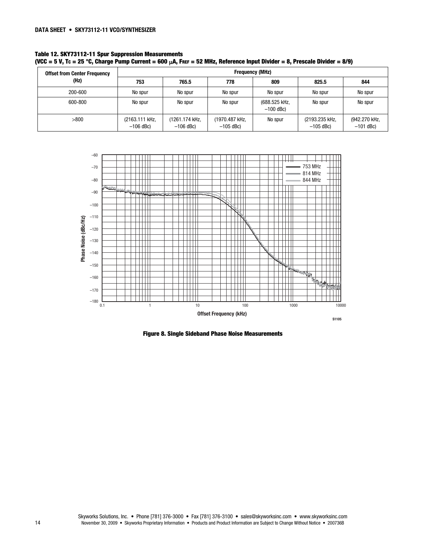| Table 12. SKY73112-11 Spur Suppression Measurements |                                                                                                                                |
|-----------------------------------------------------|--------------------------------------------------------------------------------------------------------------------------------|
|                                                     | (VCC = 5 V, Tc = 25 °C, Charge Pump Current = 600 $\mu$ A, Free = 52 MHz, Reference Input Divider = 8, Prescale Divider = 8/9) |

| <b>Offset from Center Frequency</b> | <b>Frequency (MHz)</b>        |                               |                               |                              |                               |                              |
|-------------------------------------|-------------------------------|-------------------------------|-------------------------------|------------------------------|-------------------------------|------------------------------|
| (Hz)                                | 753                           | 765.5                         | 778                           | 809                          | 825.5                         | 844                          |
| 200-600                             | No spur                       | No spur                       | No spur                       | No spur                      | No spur                       | No spur                      |
| 600-800                             | No spur                       | No spur                       | No spur                       | (688.525 kHz,<br>$-100$ dBc) | No spur                       | No spur                      |
| >800                                | (2163.111 kHz,<br>$-106$ dBc) | (1261.174 kHz,<br>$-106$ dBc) | (1970.487 kHz,<br>$-105$ dBc) | No spur                      | (2193.235 kHz,<br>$-105$ dBc) | (942.270 kHz,<br>$-101$ dBc) |



**Figure 8. Single Sideband Phase Noise Measurements**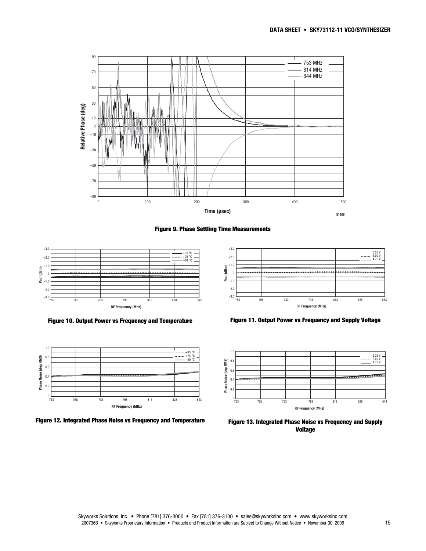





**Figure 10. Output Power vs Frequency and Temperature** 



**Figure 12. Integrated Phase Noise vs Frequency and Temperature** 



**Figure 11. Output Power vs Frequency and Supply Voltage** 



**Figure 13. Integrated Phase Noise vs Frequency and Supply Voltage**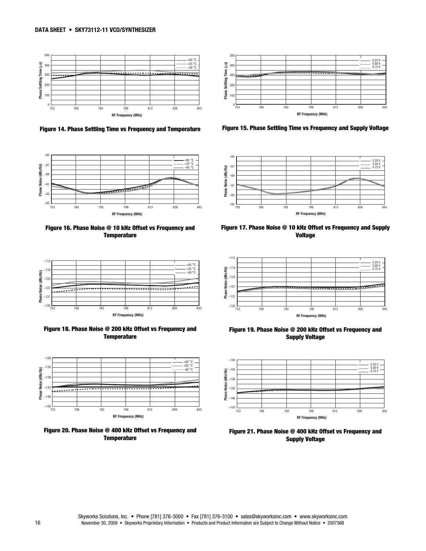

**Figure 14. Phase Settling Time vs Frequency and Temperature** 



**Figure 16. Phase Noise @ 10 kHz Offset vs Frequency and Temperature** 



**Figure 18. Phase Noise @ 200 kHz Offset vs Frequency and Temperature** 



**Figure 20. Phase Noise @ 400 kHz Offset vs Frequency and Temperature** 



**Figure 15. Phase Settling Time vs Frequency and Supply Voltage** 



**Figure 17. Phase Noise @ 10 kHz Offset vs Frequency and Supply Voltage** 



**Figure 19. Phase Noise @ 200 kHz Offset vs Frequency and Supply Voltage** 



**Figure 21. Phase Noise @ 400 kHz Offset vs Frequency and Supply Voltage**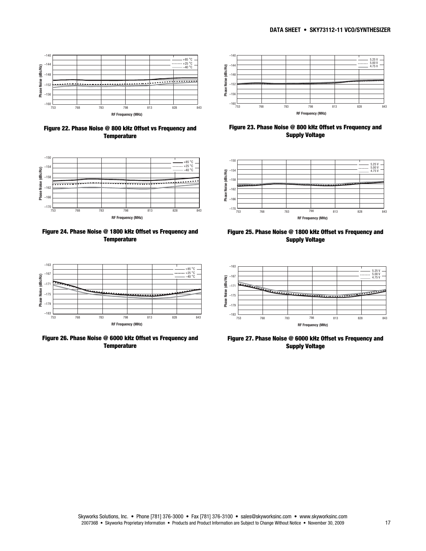

**Figure 22. Phase Noise @ 800 kHz Offset vs Frequency and Temperature** 



**Figure 24. Phase Noise @ 1800 kHz Offset vs Frequency and Temperature** 



**Figure 26. Phase Noise @ 6000 kHz Offset vs Frequency and Temperature** 



**Figure 23. Phase Noise @ 800 kHz Offset vs Frequency and Supply Voltage** 



**Figure 25. Phase Noise @ 1800 kHz Offset vs Frequency and Supply Voltage** 



**Figure 27. Phase Noise @ 6000 kHz Offset vs Frequency and Supply Voltage**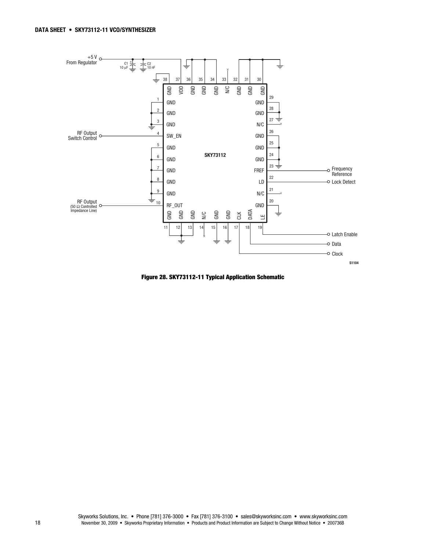

**Figure 28. SKY73112-11 Typical Application Schematic**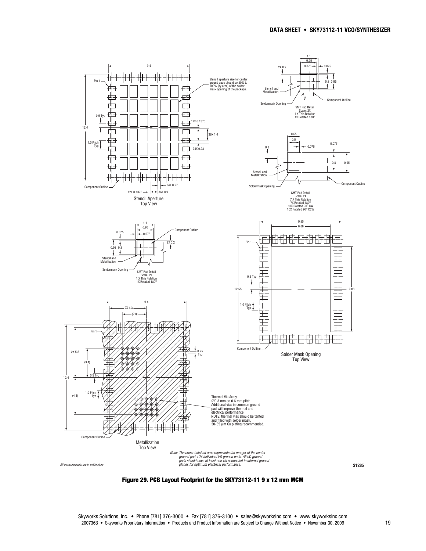

**Figure 29. PCB Layout Footprint for the SKY73112-11 9 x 12 mm MCM**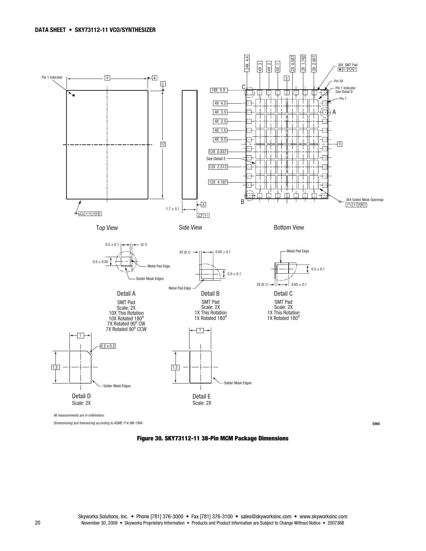

**Figure 30. SKY73112-11 38-Pin MCM Package Dimensions**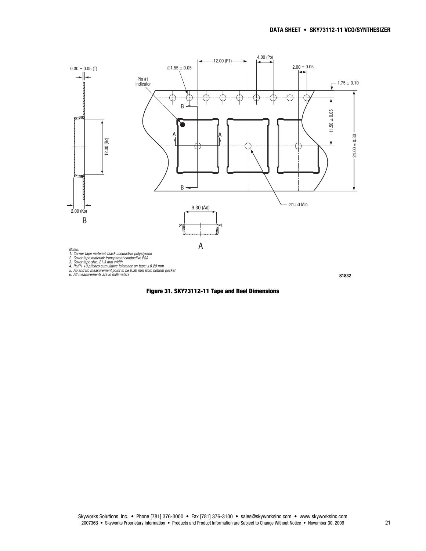